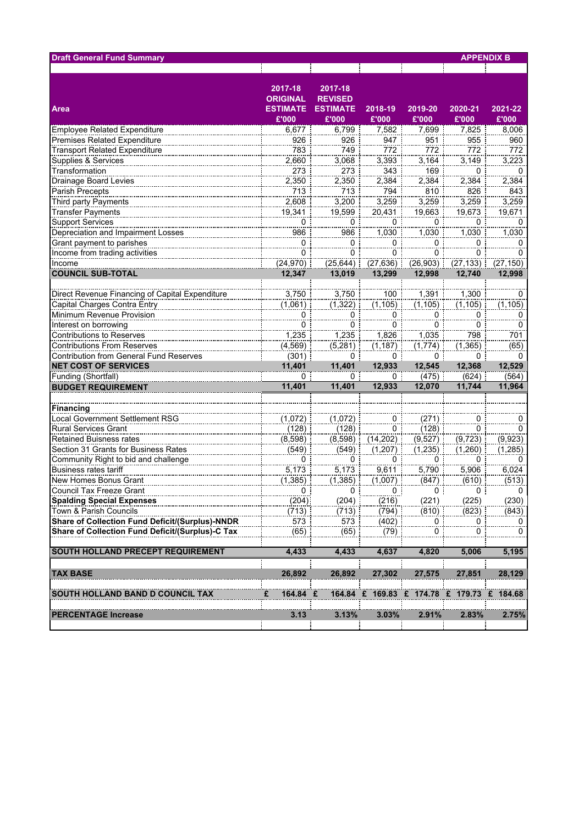| <b>Draft General Fund Summary</b>                      |                                               |                                              |                          |                | <b>APPENDIX B</b> |              |
|--------------------------------------------------------|-----------------------------------------------|----------------------------------------------|--------------------------|----------------|-------------------|--------------|
|                                                        | ÷                                             |                                              |                          | Ť.             |                   |              |
| <b>Area</b>                                            | 2017-18<br><b>ORIGINAL</b><br><b>ESTIMATE</b> | 2017-18<br><b>REVISED</b><br><b>ESTIMATE</b> | 2018-19                  | 2019-20        | 2020-21           | 2021-22      |
|                                                        | £'000                                         | £'000                                        | £'000                    | £'000          | £'000             | £'000        |
| <b>Employee Related Expenditure</b>                    | 6,677                                         | 6,799                                        | 7,582                    | 7,699          | 7,825             | 8,006        |
| Premises Related Expenditure                           | 926                                           | 926                                          | 947                      | 951            | 955               | 960          |
| <b>Transport Related Expenditure</b>                   | 783                                           | 749                                          | 772                      | 772            | 772               | 772          |
| Supplies & Services                                    | 2,660                                         | 3,068                                        | 3,393                    | 3,164          | 3,149             | 3,223        |
| Transformation                                         | 273                                           | 273                                          | 343                      | 169            | 0                 | 0            |
| <b>Drainage Board Levies</b>                           | 2,350                                         | 2,350                                        | 2,384                    | 2,384          | 2,384             | 2,384        |
| Parish Precepts                                        | 713                                           | 713                                          | 794                      | 810            | 826               | 843          |
| Third party Payments                                   | 2,608                                         | 3,200                                        | 3,259                    | 3,259          | 3,259             | 3,259        |
| <b>Transfer Payments</b>                               | 19,341                                        | 19,599                                       | 20,431                   | 19,663         | 19,673            | 19,671       |
| Support Services                                       | 0                                             | 0                                            | 0                        | 0              | 0                 | $\Omega$     |
| Depreciation and Impairment Losses                     | $\frac{1}{986}$                               | $\frac{1}{986}$                              | 7,030                    | 7,030          | $\frac{1}{1,030}$ | 1,030        |
|                                                        |                                               |                                              |                          |                |                   |              |
| Grant payment to parishes                              | 0                                             | 0                                            | 0                        | $\overline{0}$ | 0                 | 0            |
| Income from trading activities                         | 0                                             | 0                                            | $\overline{0}$           | 0              | $\overline{0}$    | 0            |
| Income                                                 | (24, 970)                                     | (25, 644)                                    | $(27, 636)$ :            | (26,903)       | (27, 133)         | (27, 150)    |
| <b>COUNCIL SUB-TOTAL</b>                               | 12,347                                        | 13,019                                       | 13,299                   | 12,998         | 12,740            | 12,998       |
|                                                        |                                               |                                              |                          |                |                   |              |
| Direct Revenue Financing of Capital Expenditure        | 3,750                                         | 3,750                                        | 100                      | 1,391          | 1,300             | 0            |
| Capital Charges Contra Entry                           | (1,061)                                       | (1, 322)                                     | (1, 105)                 | (1, 105)       | (1, 105)          | (1, 105)     |
| Minimum Revenue Provision                              | $\pmb{0}$                                     | 0                                            | 0                        | 0              | 0                 | 0            |
| Interest on borrowing                                  | 0                                             | 0                                            | 0                        | 0              | 0                 | 0            |
| <b>Contributions to Reserves</b>                       | 1,235                                         | 1,235                                        | 1,826                    | 1,035          | 798               | 701          |
| <b>Contributions From Reserves</b>                     | (4, 569)                                      | (5,281)                                      | (1, 187)                 | (1,774)        | (1, 365)          | (65)         |
| Contribution from General Fund Reserves                | $(301)$ :                                     | 0                                            | 0                        | $\mathbf{0}$   | 0                 | $\Omega$     |
| <b>NET COST OF SERVICES</b>                            | 11,401                                        | 11,401                                       | 12,933                   | 12,545         | 12,368            | 12,529       |
| Funding (Shortfall)                                    | 0                                             | 0                                            | 0 :                      | (475)          | (624)             | (564)        |
| <b>BUDGET REQUIREMENT</b>                              | 11,401                                        | 11,401                                       | 12,933                   | 12,070         | 11,744            | 11,964       |
|                                                        |                                               |                                              |                          |                |                   |              |
| <b>Financing</b>                                       |                                               |                                              |                          |                |                   |              |
| Local Government Settlement RSG                        | (1,072)                                       | (1,072)                                      | 0                        | (271)          | 0                 | 0            |
| Rural Services Grant                                   | (128)                                         | (128)                                        | 0                        | (128)          | 0                 | 0            |
| <b>Retained Buisness rates</b>                         | (8,598)                                       | (8,598)                                      | (14, 202)                | (9,527)        | (9, 723)          | (9,923)      |
| Section 31 Grants for Business Rates                   | (549)                                         | (549)                                        | (1, 207)                 | (1,235)        | (1,260)           | (1, 285)     |
| Community Right to bid and challenge                   | 0                                             | 0                                            | 0                        | 0              | 0                 | 0            |
| <b>Business rates tariff</b>                           | 5,173                                         | 5,173                                        | 9,611                    | 5,790          | 5,906             | 6,024        |
| New Homes Bonus Grant                                  | (1, 385)                                      | (1, 385)                                     | (1,007)                  | (847)          | (610)             | (513)        |
| <b>Council Tax Freeze Grant</b>                        | 0                                             | 0                                            | 0 :                      | 0 !            | 0                 | 0            |
| <b>Spalding Special Expenses</b>                       | (204)                                         | (204)                                        | (216)                    | (221)          | (225)             | (230)        |
| Town & Parish Councils                                 | (713)                                         | (713)                                        | (794)                    | (810)          | (823)             | (843)        |
| <b>Share of Collection Fund Deficit/(Surplus)-NNDR</b> | 573                                           | 573                                          | (402)                    | 0              | 0                 | $\mathbf{0}$ |
| Share of Collection Fund Deficit/(Surplus)-C Tax       | (65)                                          | (65)                                         | (79)                     | 0              | ö                 | 0            |
|                                                        |                                               |                                              |                          |                |                   |              |
| <b>SOUTH HOLLAND PRECEPT REQUIREMENT</b>               | 4,433                                         | 4,433                                        | 4,637                    | 4,820          | 5,006             | 5,195        |
|                                                        |                                               |                                              |                          |                |                   |              |
| <b>TAX BASE</b>                                        | 26,892                                        | 26,892                                       | 27,302                   | 27,575         | 27,851            | 28,129       |
| SOUTH HOLLAND BAND D COUNCIL TAX                       | £<br>164.84 £                                 |                                              | 164.84 £ 169.83 £ 174.78 |                | £ 179.73 £ 184.68 |              |
|                                                        |                                               |                                              |                          |                |                   |              |
| <b>PERCENTAGE Increase</b>                             | 3.13                                          | 3.13%                                        | 3.03%                    | 2.91%          | 2.83%             | 2.75%        |
|                                                        |                                               |                                              |                          |                |                   |              |